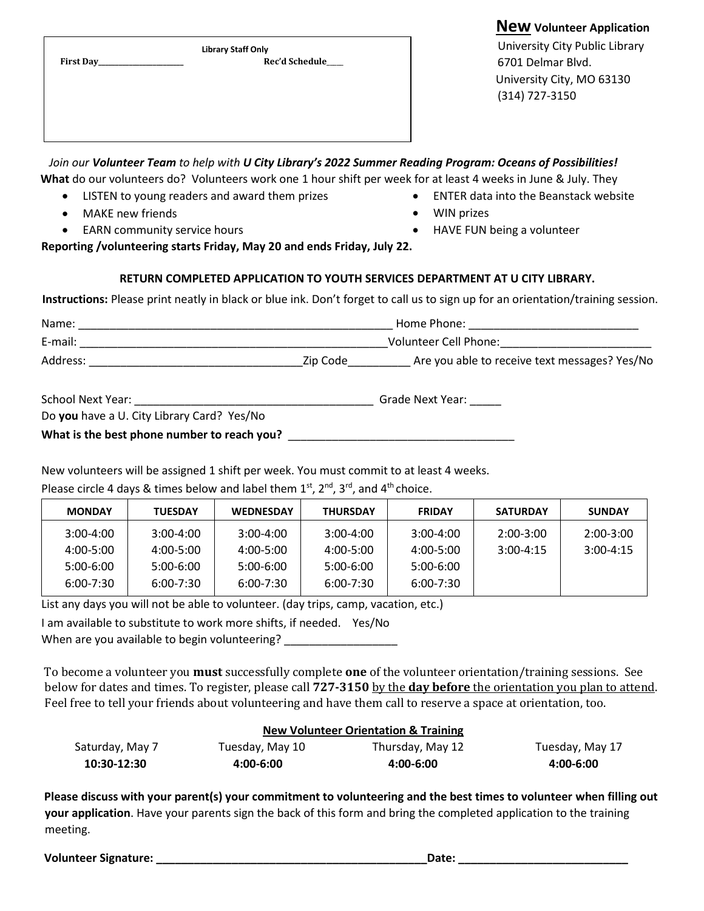| <b>New Volunteer Application</b> |
|----------------------------------|
| University City Public Library   |
| 6701 Delmar Blvd.                |
| University City, MO 63130        |
| (314) 727-3150                   |
|                                  |
|                                  |
|                                  |

*Join our Volunteer Team to help with U City Library's 2022 Summer Reading Program: Oceans of Possibilities!* **What** do our volunteers do? Volunteers work one 1 hour shift per week for at least 4 weeks in June & July. They

- LISTEN to young readers and award them prizes
- MAKE new friends
- EARN community service hours
- ENTER data into the Beanstack website
- WIN prizes
- HAVE FUN being a volunteer

**Reporting /volunteering starts Friday, May 20 and ends Friday, July 22.**

## **RETURN COMPLETED APPLICATION TO YOUTH SERVICES DEPARTMENT AT U CITY LIBRARY.**

**Instructions:** Please print neatly in black or blue ink. Don't forget to call us to sign up for an orientation/training session.

| Name:    | Home Phone: |                                               |  |  |
|----------|-------------|-----------------------------------------------|--|--|
| E-mail:  |             | Volunteer Cell Phone:                         |  |  |
| Address: | Zip Code    | Are you able to receive text messages? Yes/No |  |  |
|          |             |                                               |  |  |

| School Next Year:                          | Grade Next Year: |  |
|--------------------------------------------|------------------|--|
| Do you have a U. City Library Card? Yes/No |                  |  |

What is the best phone number to reach you? **What is the best phone number to reach you**?

New volunteers will be assigned 1 shift per week. You must commit to at least 4 weeks.

Please circle 4 days & times below and label them  $1<sup>st</sup>$ ,  $2<sup>nd</sup>$ ,  $3<sup>rd</sup>$ , and  $4<sup>th</sup>$ choice.

| <b>MONDAY</b> | <b>TUESDAY</b> | <b>WEDNESDAY</b> | <b>THURSDAY</b> | <b>FRIDAY</b> | <b>SATURDAY</b> | <b>SUNDAY</b> |
|---------------|----------------|------------------|-----------------|---------------|-----------------|---------------|
| $3:00-4:00$   | $3:00 - 4:00$  | $3:00 - 4:00$    | $3:00-4:00$     | $3:00 - 4:00$ | $2:00-3:00$     | $2:00-3:00$   |
| 4:00-5:00     | 4:00-5:00      | 4:00-5:00        | 4:00-5:00       | 4:00-5:00     | $3:00 - 4:15$   | $3:00-4:15$   |
| 5:00-6:00     | $5:00-6:00$    | 5:00-6:00        | $5:00-6:00$     | 5:00-6:00     |                 |               |
| 6:00-7:30     | $6:00 - 7:30$  | 6:00-7:30        | $6:00 - 7:30$   | $6:00 - 7:30$ |                 |               |

List any days you will not be able to volunteer. (day trips, camp, vacation, etc.)

I am available to substitute to work more shifts, if needed. Yes/No

When are you available to begin volunteering? \_\_\_\_\_\_\_\_\_\_\_\_\_\_\_\_\_\_\_\_\_\_\_\_\_\_\_\_\_\_\_\_\_\_

To become a volunteer you **must** successfully complete **one** of the volunteer orientation/training sessions.See below for dates and times. To register, please call **727-3150** by the **day before** the orientation you plan to attend. Feel free to tell your friends about volunteering and have them call to reserve a space at orientation, too.

| <b>New Volunteer Orientation &amp; Training</b> |                 |                  |                 |  |
|-------------------------------------------------|-----------------|------------------|-----------------|--|
| Saturday, May 7                                 | Tuesday, May 10 | Thursday, May 12 | Tuesday, May 17 |  |
| 10:30-12:30                                     | 4:00-6:00       | 4:00-6:00        | 4:00-6:00       |  |

**Please discuss with your parent(s) your commitment to volunteering and the best times to volunteer when filling out your application**. Have your parents sign the back of this form and bring the completed application to the training meeting.

**Volunteer Signature: \_\_\_\_\_\_\_\_\_\_\_\_\_\_\_\_\_\_\_\_\_\_\_\_\_\_\_\_\_\_\_\_\_\_\_\_\_\_\_\_\_\_\_Date: \_\_\_\_\_\_\_\_\_\_\_\_\_\_\_\_\_\_\_\_\_\_\_\_\_\_\_**